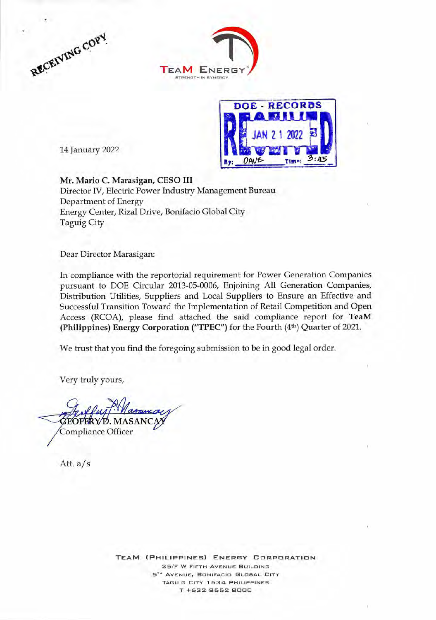







Mr. Mario C. Marasigan, CESO III Director IV, Electric Power Industry Management Bureau Department of Energy Energy Center, Rizal Drive, Bonifacio Global City Taguig City

Dear Director Marasigan:

In compliance with the reportorial requirement for Power Generation Companies pursuant to DOE Circular 2013-05-0006, Enjoining All Generation Companies, Distribution Utilities, Suppliers and Local Suppliers to Ensure an Effective and Successful Transition Toward the Implementation of Retail Competition and Open Access (RCOA), please find attached the said compliance report for TeaM (Philippines) Energy Corporation ("TPEC") for the Fourth (4th) Quarter of 2021.

We trust that you find the foregoing submission to be in good legal order.

Very truly yours,

. MASANC Compliance Officer

Att. a/s

**TEAM (PHILIPPINES) ENERGY CORPORATION 25/F W FIFTH AVENUE BUILDING 5T " AVENUE, BONIFACIO GLOBAL CITY TAGUIG CITY 1 634 PHILIPPINES T +632 8552 8000**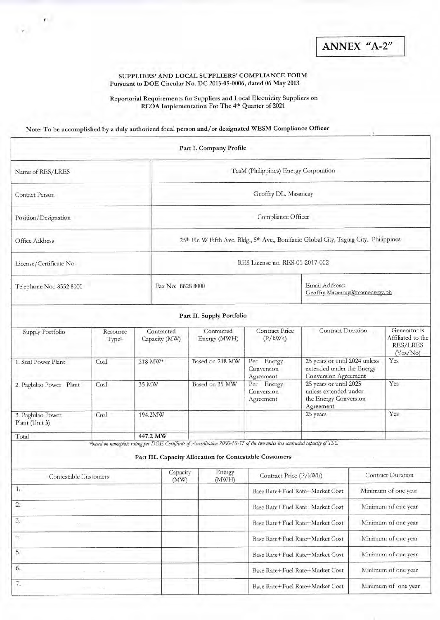ANNEX "A-2"

## SUPPLIERS' AND LOCAL SUPPLIERS' COMPLIANCE FORM Pursuant to DOE Circular No. DC 2013-05-0006, dated 06 May 2013

Reportorial Requirements for Suppliers and Local Electricity Suppliers on RCOA Implementation For The 4<sup>th</sup> Quarter of 2021

Note: To be accomplished by a duly authorized focal person and/or designated WESM Compliance Officer

 $\frac{1}{\left\vert \Psi \right\vert }\left\vert \Psi \right\vert =0.$ 

|                                     |                               |                             |                                                                                                                 | Part I. Company Profile                                                                                                                                                                |                                                        |                                                                                              |                          |                                                           |  |
|-------------------------------------|-------------------------------|-----------------------------|-----------------------------------------------------------------------------------------------------------------|----------------------------------------------------------------------------------------------------------------------------------------------------------------------------------------|--------------------------------------------------------|----------------------------------------------------------------------------------------------|--------------------------|-----------------------------------------------------------|--|
| Name of RES/LRES                    |                               |                             | TeaM (Philippines) Energy Corporation                                                                           |                                                                                                                                                                                        |                                                        |                                                                                              |                          |                                                           |  |
| Contact Person                      |                               |                             | Geoffry DL. Masancay                                                                                            |                                                                                                                                                                                        |                                                        |                                                                                              |                          |                                                           |  |
| Position/Designation                |                               |                             | Compliance Officer                                                                                              |                                                                                                                                                                                        |                                                        |                                                                                              |                          |                                                           |  |
| Office Address                      |                               |                             | 25 <sup>th</sup> Flr. W Fifth Ave. Bldg., 5 <sup>th</sup> Ave., Bonifacio Global City, Taguig City, Philippines |                                                                                                                                                                                        |                                                        |                                                                                              |                          |                                                           |  |
| License/Certificate No.             |                               |                             | RES License no. RES-01-2017-002                                                                                 |                                                                                                                                                                                        |                                                        |                                                                                              |                          |                                                           |  |
| Telephone No.: 8552 8000            |                               |                             | Fax No: 8828 8000                                                                                               |                                                                                                                                                                                        |                                                        | Email Address:<br>Geoffry.Masancay@teamenergy.ph                                             |                          |                                                           |  |
|                                     |                               |                             |                                                                                                                 | Part II. Supply Portfolio                                                                                                                                                              |                                                        |                                                                                              |                          |                                                           |  |
| Supply Portfolio                    | Resource<br>Type <sup>1</sup> | Contracted<br>Capacity (MW) |                                                                                                                 | Contracted<br>Energy (MWH)                                                                                                                                                             | <b>Contract Price</b><br>(P/kWh)                       | Contract Duration                                                                            |                          | Generator is<br>Affiliated to the<br>RES/LRES<br>(Yes/No) |  |
| 1. Sual Power Plant                 | Coal                          | 218 MW*                     |                                                                                                                 | Based on 218 MW                                                                                                                                                                        | Per Energy<br>Conversion<br>Agreement                  | 25 years or until 2024 unless<br>extended under the Energy<br><b>Conversion Agreement</b>    |                          | Yes                                                       |  |
| 2. Pagbilao Power Plant             | Coal                          | 35 MW                       |                                                                                                                 | Based on 35 MW                                                                                                                                                                         | Per Energy<br>Conversion<br>Agreement                  | 25 years or until 2025<br>Yes<br>unless extended under<br>the Energy Conversion<br>Agreement |                          |                                                           |  |
| 3. Pagbilao Power<br>Plant (Unit 3) | Coal                          |                             | 194.2MW                                                                                                         |                                                                                                                                                                                        |                                                        | 25 years                                                                                     |                          | Yes                                                       |  |
| Total                               |                               |                             | 447.2 MW                                                                                                        |                                                                                                                                                                                        |                                                        |                                                                                              |                          |                                                           |  |
|                                     |                               |                             |                                                                                                                 | *based on nameplate rating per DOE Certificate of Accreditation 2000-10-57 of the two units less contracted capacity of TSC<br>Part III. Capacity Allocation for Contestable Customers |                                                        |                                                                                              |                          |                                                           |  |
| Contestable Customers               |                               |                             | Capacity<br>(MW)                                                                                                | Energy<br>(MWH)                                                                                                                                                                        | Contract Price (P/kWh)                                 |                                                                                              | <b>Contract Duration</b> |                                                           |  |
| $T_{\rm c}$                         |                               |                             |                                                                                                                 |                                                                                                                                                                                        | Base Rate+Fuel Rate+Market Cost                        |                                                                                              | Minimum of one year      |                                                           |  |
| $2. \,$                             |                               |                             |                                                                                                                 |                                                                                                                                                                                        | Base Rate+Fuel Rate+Market Cost                        |                                                                                              | Minimum of one year      |                                                           |  |
| 3.                                  |                               |                             |                                                                                                                 |                                                                                                                                                                                        | Base Rate+Fuel Rate+Market Cost                        |                                                                                              |                          | Minimum of one year                                       |  |
| 4.                                  |                               |                             |                                                                                                                 |                                                                                                                                                                                        | Base Rate+Fuel Rate+Market Cost                        |                                                                                              |                          | Minimum of one year                                       |  |
| 5.                                  |                               |                             |                                                                                                                 |                                                                                                                                                                                        | Base Rate+Fuel Rate+Market Cost                        |                                                                                              |                          | Minimum of one year                                       |  |
| 6.                                  |                               |                             |                                                                                                                 |                                                                                                                                                                                        | Base Rate+Fuel Rate+Market Cost                        |                                                                                              |                          | Minimum of one year                                       |  |
| 7.                                  |                               |                             |                                                                                                                 |                                                                                                                                                                                        | Minimum of one year<br>Base Rate+Fuel Rate+Market Cost |                                                                                              |                          |                                                           |  |